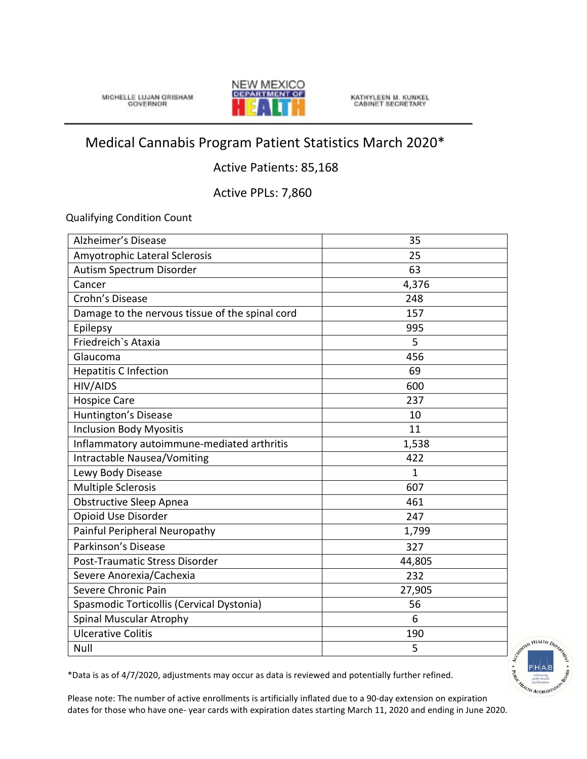MICHELLE LUJAN GRISHAM



KATHYLEEN M. KUNKEL<br>CABINET SECRETARY

## Medical Cannabis Program Patient Statistics March 2020\*

## Active Patients: 85,168

Active PPLs: 7,860

Qualifying Condition Count

| Alzheimer's Disease                             | 35           |
|-------------------------------------------------|--------------|
| Amyotrophic Lateral Sclerosis                   | 25           |
| Autism Spectrum Disorder                        | 63           |
| Cancer                                          | 4,376        |
| Crohn's Disease                                 | 248          |
| Damage to the nervous tissue of the spinal cord | 157          |
| Epilepsy                                        | 995          |
| Friedreich's Ataxia                             | 5            |
| Glaucoma                                        | 456          |
| <b>Hepatitis C Infection</b>                    | 69           |
| HIV/AIDS                                        | 600          |
| <b>Hospice Care</b>                             | 237          |
| Huntington's Disease                            | 10           |
| <b>Inclusion Body Myositis</b>                  | 11           |
| Inflammatory autoimmune-mediated arthritis      | 1,538        |
| Intractable Nausea/Vomiting                     | 422          |
| Lewy Body Disease                               | $\mathbf{1}$ |
| <b>Multiple Sclerosis</b>                       | 607          |
| <b>Obstructive Sleep Apnea</b>                  | 461          |
| Opioid Use Disorder                             | 247          |
| Painful Peripheral Neuropathy                   | 1,799        |
| Parkinson's Disease                             | 327          |
| Post-Traumatic Stress Disorder                  | 44,805       |
| Severe Anorexia/Cachexia                        | 232          |
| Severe Chronic Pain                             | 27,905       |
| Spasmodic Torticollis (Cervical Dystonia)       | 56           |
| Spinal Muscular Atrophy                         | 6            |
| <b>Ulcerative Colitis</b>                       | 190          |
| Null                                            | 5            |



\*Data is as of 4/7/2020, adjustments may occur as data is reviewed and potentially further refined.

Please note: The number of active enrollments is artificially inflated due to a 90-day extension on expiration dates for those who have one- year cards with expiration dates starting March 11, 2020 and ending in June 2020.